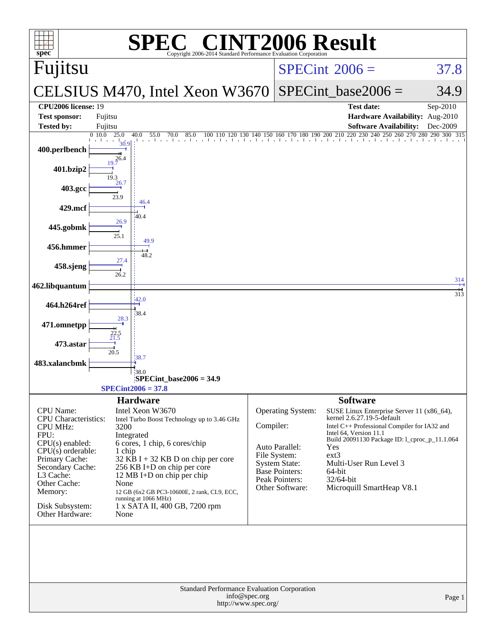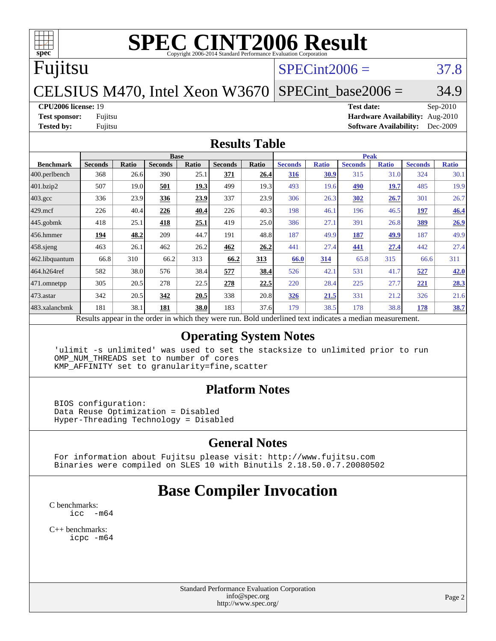# **[SPEC CINT2006 Result](http://www.spec.org/auto/cpu2006/Docs/result-fields.html#SPECCINT2006Result)**

# Fujitsu

# $SPECint2006 = 37.8$  $SPECint2006 = 37.8$

### CELSIUS M470, Intel Xeon W3670  $SPECTnt\_base2006 = 34.9$

**[CPU2006 license:](http://www.spec.org/auto/cpu2006/Docs/result-fields.html#CPU2006license)** 19 **[Test date:](http://www.spec.org/auto/cpu2006/Docs/result-fields.html#Testdate)** Sep-2010 **[Test sponsor:](http://www.spec.org/auto/cpu2006/Docs/result-fields.html#Testsponsor)** Fujitsu **[Hardware Availability:](http://www.spec.org/auto/cpu2006/Docs/result-fields.html#HardwareAvailability)** Aug-2010 **[Tested by:](http://www.spec.org/auto/cpu2006/Docs/result-fields.html#Testedby)** Fujitsu **[Software Availability:](http://www.spec.org/auto/cpu2006/Docs/result-fields.html#SoftwareAvailability)** Dec-2009

### **[Results Table](http://www.spec.org/auto/cpu2006/Docs/result-fields.html#ResultsTable)**

|                    |                                                                                                          |       | <b>Base</b>    |             |                |             |                |              | <b>Peak</b>    |              |                |              |
|--------------------|----------------------------------------------------------------------------------------------------------|-------|----------------|-------------|----------------|-------------|----------------|--------------|----------------|--------------|----------------|--------------|
| <b>Benchmark</b>   | <b>Seconds</b>                                                                                           | Ratio | <b>Seconds</b> | Ratio       | <b>Seconds</b> | Ratio       | <b>Seconds</b> | <b>Ratio</b> | <b>Seconds</b> | <b>Ratio</b> | <b>Seconds</b> | <b>Ratio</b> |
| 400.perlbench      | 368                                                                                                      | 26.6  | 390            | 25.1        | 371            | 26.4        | 316            | 30.9         | 315            | 31.0         | 324            | 30.1         |
| 401.bzip2          | 507                                                                                                      | 19.0  | 501            | <u>19.3</u> | 499            | 19.3        | 493            | 19.6         | <u>490</u>     | <u>19.7</u>  | 485            | 19.9         |
| $403.\mathrm{gcc}$ | 336                                                                                                      | 23.9  | 336            | 23.9        | 337            | 23.9        | 306            | 26.3         | 302            | 26.7         | 301            | 26.7         |
| $429$ mcf          | 226                                                                                                      | 40.4  | 226            | 40.4        | 226            | 40.3        | 198            | 46.1         | 196            | 46.5         | 197            | 46.4         |
| $445$ .gobmk       | 418                                                                                                      | 25.1  | 418            | 25.1        | 419            | 25.0        | 386            | 27.1         | 391            | 26.8         | 389            | 26.9         |
| $ 456$ .hmmer      | 194                                                                                                      | 48.2  | 209            | 44.7        | 191            | 48.8        | 187            | 49.9         | 187            | 49.9         | 187            | 49.9         |
| $458$ .sjeng       | 463                                                                                                      | 26.1  | 462            | 26.2        | 462            | 26.2        | 441            | 27.4         | 441            | 27.4         | 442            | 27.4         |
| 462.libquantum     | 66.8                                                                                                     | 310   | 66.2           | 313         | 66.2           | 313         | 66.0           | 314          | 65.8           | 315          | 66.6           | 311          |
| 464.h264ref        | 582                                                                                                      | 38.0  | 576            | 38.4        | 577            | <u>38.4</u> | 526            | 42.1         | 531            | 41.7         | 527            | 42.0         |
| $ 471$ .omnetpp    | 305                                                                                                      | 20.5  | 278            | 22.5        | 278            | 22.5        | 220            | 28.4         | 225            | 27.7         | 221            | 28.3         |
| $473$ . astar      | 342                                                                                                      | 20.5  | 342            | 20.5        | 338            | 20.8        | 326            | 21.5         | 331            | 21.2         | 326            | 21.6         |
| 483.xalancbmk      | 181                                                                                                      | 38.1  | 181            | 38.0        | 183            | 37.6        | 179            | 38.5         | 178            | 38.8         | 178            | 38.7         |
|                    | Results appear in the order in which they were run. Bold underlined text indicates a median measurement. |       |                |             |                |             |                |              |                |              |                |              |

### **[Operating System Notes](http://www.spec.org/auto/cpu2006/Docs/result-fields.html#OperatingSystemNotes)**

 'ulimit -s unlimited' was used to set the stacksize to unlimited prior to run OMP\_NUM\_THREADS set to number of cores KMP\_AFFINITY set to granularity=fine,scatter

## **[Platform Notes](http://www.spec.org/auto/cpu2006/Docs/result-fields.html#PlatformNotes)**

 BIOS configuration: Data Reuse Optimization = Disabled Hyper-Threading Technology = Disabled

## **[General Notes](http://www.spec.org/auto/cpu2006/Docs/result-fields.html#GeneralNotes)**

 For information about Fujitsu please visit: <http://www.fujitsu.com> Binaries were compiled on SLES 10 with Binutils 2.18.50.0.7.20080502

# **[Base Compiler Invocation](http://www.spec.org/auto/cpu2006/Docs/result-fields.html#BaseCompilerInvocation)**

[C benchmarks](http://www.spec.org/auto/cpu2006/Docs/result-fields.html#Cbenchmarks):  $\text{icc}$  -m64

[C++ benchmarks:](http://www.spec.org/auto/cpu2006/Docs/result-fields.html#CXXbenchmarks) [icpc -m64](http://www.spec.org/cpu2006/results/res2010q3/cpu2006-20100910-13174.flags.html#user_CXXbase_intel_icpc_64bit_fc66a5337ce925472a5c54ad6a0de310)

> Standard Performance Evaluation Corporation [info@spec.org](mailto:info@spec.org) <http://www.spec.org/>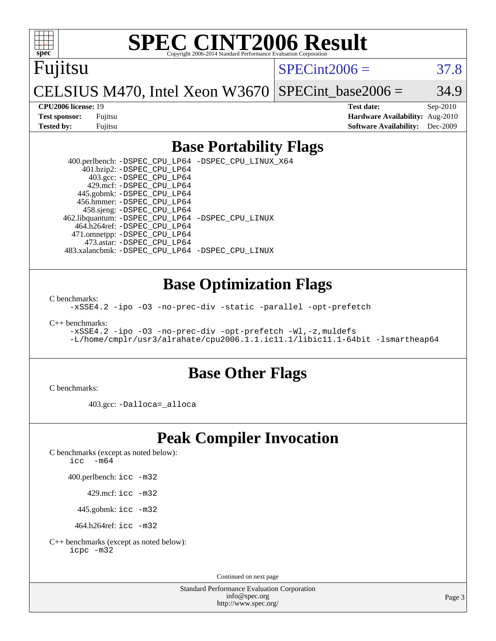# **[SPEC CINT2006 Result](http://www.spec.org/auto/cpu2006/Docs/result-fields.html#SPECCINT2006Result)**

Fujitsu

 $SPECint2006 = 37.8$  $SPECint2006 = 37.8$ 

CELSIUS M470, Intel Xeon W3670  $SPECTnt\_base2006 = 34.9$ 

**[CPU2006 license:](http://www.spec.org/auto/cpu2006/Docs/result-fields.html#CPU2006license)** 19 **[Test date:](http://www.spec.org/auto/cpu2006/Docs/result-fields.html#Testdate)** Sep-2010 **[Test sponsor:](http://www.spec.org/auto/cpu2006/Docs/result-fields.html#Testsponsor)** Fujitsu **[Hardware Availability:](http://www.spec.org/auto/cpu2006/Docs/result-fields.html#HardwareAvailability)** Aug-2010 **[Tested by:](http://www.spec.org/auto/cpu2006/Docs/result-fields.html#Testedby)** Fujitsu **[Software Availability:](http://www.spec.org/auto/cpu2006/Docs/result-fields.html#SoftwareAvailability)** Dec-2009

## **[Base Portability Flags](http://www.spec.org/auto/cpu2006/Docs/result-fields.html#BasePortabilityFlags)**

 400.perlbench: [-DSPEC\\_CPU\\_LP64](http://www.spec.org/cpu2006/results/res2010q3/cpu2006-20100910-13174.flags.html#b400.perlbench_basePORTABILITY_DSPEC_CPU_LP64) [-DSPEC\\_CPU\\_LINUX\\_X64](http://www.spec.org/cpu2006/results/res2010q3/cpu2006-20100910-13174.flags.html#b400.perlbench_baseCPORTABILITY_DSPEC_CPU_LINUX_X64) 401.bzip2: [-DSPEC\\_CPU\\_LP64](http://www.spec.org/cpu2006/results/res2010q3/cpu2006-20100910-13174.flags.html#suite_basePORTABILITY401_bzip2_DSPEC_CPU_LP64) 403.gcc: [-DSPEC\\_CPU\\_LP64](http://www.spec.org/cpu2006/results/res2010q3/cpu2006-20100910-13174.flags.html#suite_basePORTABILITY403_gcc_DSPEC_CPU_LP64) 429.mcf: [-DSPEC\\_CPU\\_LP64](http://www.spec.org/cpu2006/results/res2010q3/cpu2006-20100910-13174.flags.html#suite_basePORTABILITY429_mcf_DSPEC_CPU_LP64) 445.gobmk: [-DSPEC\\_CPU\\_LP64](http://www.spec.org/cpu2006/results/res2010q3/cpu2006-20100910-13174.flags.html#suite_basePORTABILITY445_gobmk_DSPEC_CPU_LP64) 456.hmmer: [-DSPEC\\_CPU\\_LP64](http://www.spec.org/cpu2006/results/res2010q3/cpu2006-20100910-13174.flags.html#suite_basePORTABILITY456_hmmer_DSPEC_CPU_LP64) 458.sjeng: [-DSPEC\\_CPU\\_LP64](http://www.spec.org/cpu2006/results/res2010q3/cpu2006-20100910-13174.flags.html#suite_basePORTABILITY458_sjeng_DSPEC_CPU_LP64) 462.libquantum: [-DSPEC\\_CPU\\_LP64](http://www.spec.org/cpu2006/results/res2010q3/cpu2006-20100910-13174.flags.html#suite_basePORTABILITY462_libquantum_DSPEC_CPU_LP64) [-DSPEC\\_CPU\\_LINUX](http://www.spec.org/cpu2006/results/res2010q3/cpu2006-20100910-13174.flags.html#b462.libquantum_baseCPORTABILITY_DSPEC_CPU_LINUX) 464.h264ref: [-DSPEC\\_CPU\\_LP64](http://www.spec.org/cpu2006/results/res2010q3/cpu2006-20100910-13174.flags.html#suite_basePORTABILITY464_h264ref_DSPEC_CPU_LP64) 471.omnetpp: [-DSPEC\\_CPU\\_LP64](http://www.spec.org/cpu2006/results/res2010q3/cpu2006-20100910-13174.flags.html#suite_basePORTABILITY471_omnetpp_DSPEC_CPU_LP64) 473.astar: [-DSPEC\\_CPU\\_LP64](http://www.spec.org/cpu2006/results/res2010q3/cpu2006-20100910-13174.flags.html#suite_basePORTABILITY473_astar_DSPEC_CPU_LP64) 483.xalancbmk: [-DSPEC\\_CPU\\_LP64](http://www.spec.org/cpu2006/results/res2010q3/cpu2006-20100910-13174.flags.html#suite_basePORTABILITY483_xalancbmk_DSPEC_CPU_LP64) [-DSPEC\\_CPU\\_LINUX](http://www.spec.org/cpu2006/results/res2010q3/cpu2006-20100910-13174.flags.html#b483.xalancbmk_baseCXXPORTABILITY_DSPEC_CPU_LINUX)

## **[Base Optimization Flags](http://www.spec.org/auto/cpu2006/Docs/result-fields.html#BaseOptimizationFlags)**

[C benchmarks](http://www.spec.org/auto/cpu2006/Docs/result-fields.html#Cbenchmarks):

[-xSSE4.2](http://www.spec.org/cpu2006/results/res2010q3/cpu2006-20100910-13174.flags.html#user_CCbase_f-xSSE42_f91528193cf0b216347adb8b939d4107) [-ipo](http://www.spec.org/cpu2006/results/res2010q3/cpu2006-20100910-13174.flags.html#user_CCbase_f-ipo) [-O3](http://www.spec.org/cpu2006/results/res2010q3/cpu2006-20100910-13174.flags.html#user_CCbase_f-O3) [-no-prec-div](http://www.spec.org/cpu2006/results/res2010q3/cpu2006-20100910-13174.flags.html#user_CCbase_f-no-prec-div) [-static](http://www.spec.org/cpu2006/results/res2010q3/cpu2006-20100910-13174.flags.html#user_CCbase_f-static) [-parallel](http://www.spec.org/cpu2006/results/res2010q3/cpu2006-20100910-13174.flags.html#user_CCbase_f-parallel) [-opt-prefetch](http://www.spec.org/cpu2006/results/res2010q3/cpu2006-20100910-13174.flags.html#user_CCbase_f-opt-prefetch)

[C++ benchmarks:](http://www.spec.org/auto/cpu2006/Docs/result-fields.html#CXXbenchmarks)

[-xSSE4.2](http://www.spec.org/cpu2006/results/res2010q3/cpu2006-20100910-13174.flags.html#user_CXXbase_f-xSSE42_f91528193cf0b216347adb8b939d4107) [-ipo](http://www.spec.org/cpu2006/results/res2010q3/cpu2006-20100910-13174.flags.html#user_CXXbase_f-ipo) [-O3](http://www.spec.org/cpu2006/results/res2010q3/cpu2006-20100910-13174.flags.html#user_CXXbase_f-O3) [-no-prec-div](http://www.spec.org/cpu2006/results/res2010q3/cpu2006-20100910-13174.flags.html#user_CXXbase_f-no-prec-div) [-opt-prefetch](http://www.spec.org/cpu2006/results/res2010q3/cpu2006-20100910-13174.flags.html#user_CXXbase_f-opt-prefetch) [-Wl,-z,muldefs](http://www.spec.org/cpu2006/results/res2010q3/cpu2006-20100910-13174.flags.html#user_CXXbase_link_force_multiple1_74079c344b956b9658436fd1b6dd3a8a) [-L/home/cmplr/usr3/alrahate/cpu2006.1.1.ic11.1/libic11.1-64bit -lsmartheap64](http://www.spec.org/cpu2006/results/res2010q3/cpu2006-20100910-13174.flags.html#user_CXXbase_SmartHeap64_e2306cda84805d1ab360117a79ff779c)

## **[Base Other Flags](http://www.spec.org/auto/cpu2006/Docs/result-fields.html#BaseOtherFlags)**

[C benchmarks](http://www.spec.org/auto/cpu2006/Docs/result-fields.html#Cbenchmarks):

403.gcc: [-Dalloca=\\_alloca](http://www.spec.org/cpu2006/results/res2010q3/cpu2006-20100910-13174.flags.html#b403.gcc_baseEXTRA_CFLAGS_Dalloca_be3056838c12de2578596ca5467af7f3)

# **[Peak Compiler Invocation](http://www.spec.org/auto/cpu2006/Docs/result-fields.html#PeakCompilerInvocation)**

[C benchmarks \(except as noted below\)](http://www.spec.org/auto/cpu2006/Docs/result-fields.html#Cbenchmarksexceptasnotedbelow):

[icc -m64](http://www.spec.org/cpu2006/results/res2010q3/cpu2006-20100910-13174.flags.html#user_CCpeak_intel_icc_64bit_f346026e86af2a669e726fe758c88044)

400.perlbench: [icc -m32](http://www.spec.org/cpu2006/results/res2010q3/cpu2006-20100910-13174.flags.html#user_peakCCLD400_perlbench_intel_icc_32bit_a6a621f8d50482236b970c6ac5f55f93)

429.mcf: [icc -m32](http://www.spec.org/cpu2006/results/res2010q3/cpu2006-20100910-13174.flags.html#user_peakCCLD429_mcf_intel_icc_32bit_a6a621f8d50482236b970c6ac5f55f93)

445.gobmk: [icc -m32](http://www.spec.org/cpu2006/results/res2010q3/cpu2006-20100910-13174.flags.html#user_peakCCLD445_gobmk_intel_icc_32bit_a6a621f8d50482236b970c6ac5f55f93)

464.h264ref: [icc -m32](http://www.spec.org/cpu2006/results/res2010q3/cpu2006-20100910-13174.flags.html#user_peakCCLD464_h264ref_intel_icc_32bit_a6a621f8d50482236b970c6ac5f55f93)

[C++ benchmarks \(except as noted below\):](http://www.spec.org/auto/cpu2006/Docs/result-fields.html#CXXbenchmarksexceptasnotedbelow) [icpc -m32](http://www.spec.org/cpu2006/results/res2010q3/cpu2006-20100910-13174.flags.html#user_CXXpeak_intel_icpc_32bit_4e5a5ef1a53fd332b3c49e69c3330699)

Continued on next page

Standard Performance Evaluation Corporation [info@spec.org](mailto:info@spec.org) <http://www.spec.org/>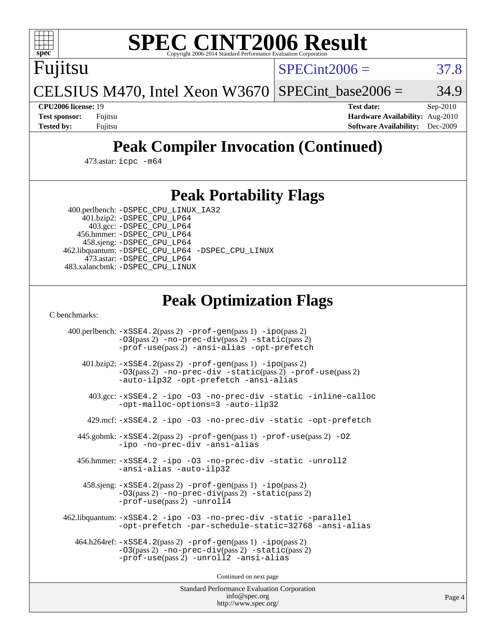

# **[SPEC CINT2006 Result](http://www.spec.org/auto/cpu2006/Docs/result-fields.html#SPECCINT2006Result)**

Fujitsu

 $SPECint2006 = 37.8$  $SPECint2006 = 37.8$ 

CELSIUS M470, Intel Xeon W3670  $SPECTnt\_base2006 = 34.9$ 

**[CPU2006 license:](http://www.spec.org/auto/cpu2006/Docs/result-fields.html#CPU2006license)** 19 **[Test date:](http://www.spec.org/auto/cpu2006/Docs/result-fields.html#Testdate)** Sep-2010 **[Test sponsor:](http://www.spec.org/auto/cpu2006/Docs/result-fields.html#Testsponsor)** Fujitsu **[Hardware Availability:](http://www.spec.org/auto/cpu2006/Docs/result-fields.html#HardwareAvailability)** Aug-2010 **[Tested by:](http://www.spec.org/auto/cpu2006/Docs/result-fields.html#Testedby)** Fujitsu **[Software Availability:](http://www.spec.org/auto/cpu2006/Docs/result-fields.html#SoftwareAvailability)** Dec-2009

# **[Peak Compiler Invocation \(Continued\)](http://www.spec.org/auto/cpu2006/Docs/result-fields.html#PeakCompilerInvocation)**

473.astar: [icpc -m64](http://www.spec.org/cpu2006/results/res2010q3/cpu2006-20100910-13174.flags.html#user_peakCXXLD473_astar_intel_icpc_64bit_fc66a5337ce925472a5c54ad6a0de310)

## **[Peak Portability Flags](http://www.spec.org/auto/cpu2006/Docs/result-fields.html#PeakPortabilityFlags)**

 400.perlbench: [-DSPEC\\_CPU\\_LINUX\\_IA32](http://www.spec.org/cpu2006/results/res2010q3/cpu2006-20100910-13174.flags.html#b400.perlbench_peakCPORTABILITY_DSPEC_CPU_LINUX_IA32) 401.bzip2: [-DSPEC\\_CPU\\_LP64](http://www.spec.org/cpu2006/results/res2010q3/cpu2006-20100910-13174.flags.html#suite_peakPORTABILITY401_bzip2_DSPEC_CPU_LP64)

 403.gcc: [-DSPEC\\_CPU\\_LP64](http://www.spec.org/cpu2006/results/res2010q3/cpu2006-20100910-13174.flags.html#suite_peakPORTABILITY403_gcc_DSPEC_CPU_LP64) 456.hmmer: [-DSPEC\\_CPU\\_LP64](http://www.spec.org/cpu2006/results/res2010q3/cpu2006-20100910-13174.flags.html#suite_peakPORTABILITY456_hmmer_DSPEC_CPU_LP64) 458.sjeng: [-DSPEC\\_CPU\\_LP64](http://www.spec.org/cpu2006/results/res2010q3/cpu2006-20100910-13174.flags.html#suite_peakPORTABILITY458_sjeng_DSPEC_CPU_LP64) 462.libquantum: [-DSPEC\\_CPU\\_LP64](http://www.spec.org/cpu2006/results/res2010q3/cpu2006-20100910-13174.flags.html#suite_peakPORTABILITY462_libquantum_DSPEC_CPU_LP64) [-DSPEC\\_CPU\\_LINUX](http://www.spec.org/cpu2006/results/res2010q3/cpu2006-20100910-13174.flags.html#b462.libquantum_peakCPORTABILITY_DSPEC_CPU_LINUX) 473.astar: [-DSPEC\\_CPU\\_LP64](http://www.spec.org/cpu2006/results/res2010q3/cpu2006-20100910-13174.flags.html#suite_peakPORTABILITY473_astar_DSPEC_CPU_LP64) 483.xalancbmk: [-DSPEC\\_CPU\\_LINUX](http://www.spec.org/cpu2006/results/res2010q3/cpu2006-20100910-13174.flags.html#b483.xalancbmk_peakCXXPORTABILITY_DSPEC_CPU_LINUX)

# **[Peak Optimization Flags](http://www.spec.org/auto/cpu2006/Docs/result-fields.html#PeakOptimizationFlags)**

[C benchmarks](http://www.spec.org/auto/cpu2006/Docs/result-fields.html#Cbenchmarks):

 400.perlbench: [-xSSE4.2](http://www.spec.org/cpu2006/results/res2010q3/cpu2006-20100910-13174.flags.html#user_peakPASS2_CFLAGSPASS2_LDCFLAGS400_perlbench_f-xSSE42_f91528193cf0b216347adb8b939d4107)(pass 2) [-prof-gen](http://www.spec.org/cpu2006/results/res2010q3/cpu2006-20100910-13174.flags.html#user_peakPASS1_CFLAGSPASS1_LDCFLAGS400_perlbench_prof_gen_e43856698f6ca7b7e442dfd80e94a8fc)(pass 1) [-ipo](http://www.spec.org/cpu2006/results/res2010q3/cpu2006-20100910-13174.flags.html#user_peakPASS2_CFLAGSPASS2_LDCFLAGS400_perlbench_f-ipo)(pass 2) [-O3](http://www.spec.org/cpu2006/results/res2010q3/cpu2006-20100910-13174.flags.html#user_peakPASS2_CFLAGSPASS2_LDCFLAGS400_perlbench_f-O3)(pass 2) [-no-prec-div](http://www.spec.org/cpu2006/results/res2010q3/cpu2006-20100910-13174.flags.html#user_peakPASS2_CFLAGSPASS2_LDCFLAGS400_perlbench_f-no-prec-div)(pass 2) [-static](http://www.spec.org/cpu2006/results/res2010q3/cpu2006-20100910-13174.flags.html#user_peakPASS2_CFLAGSPASS2_LDCFLAGS400_perlbench_f-static)(pass 2) [-prof-use](http://www.spec.org/cpu2006/results/res2010q3/cpu2006-20100910-13174.flags.html#user_peakPASS2_CFLAGSPASS2_LDCFLAGS400_perlbench_prof_use_bccf7792157ff70d64e32fe3e1250b55)(pass 2) [-ansi-alias](http://www.spec.org/cpu2006/results/res2010q3/cpu2006-20100910-13174.flags.html#user_peakCOPTIMIZE400_perlbench_f-ansi-alias) [-opt-prefetch](http://www.spec.org/cpu2006/results/res2010q3/cpu2006-20100910-13174.flags.html#user_peakCOPTIMIZE400_perlbench_f-opt-prefetch) 401.bzip2: [-xSSE4.2](http://www.spec.org/cpu2006/results/res2010q3/cpu2006-20100910-13174.flags.html#user_peakPASS2_CFLAGSPASS2_LDCFLAGS401_bzip2_f-xSSE42_f91528193cf0b216347adb8b939d4107)(pass 2) [-prof-gen](http://www.spec.org/cpu2006/results/res2010q3/cpu2006-20100910-13174.flags.html#user_peakPASS1_CFLAGSPASS1_LDCFLAGS401_bzip2_prof_gen_e43856698f6ca7b7e442dfd80e94a8fc)(pass 1) [-ipo](http://www.spec.org/cpu2006/results/res2010q3/cpu2006-20100910-13174.flags.html#user_peakPASS2_CFLAGSPASS2_LDCFLAGS401_bzip2_f-ipo)(pass 2) [-O3](http://www.spec.org/cpu2006/results/res2010q3/cpu2006-20100910-13174.flags.html#user_peakPASS2_CFLAGSPASS2_LDCFLAGS401_bzip2_f-O3)(pass 2) [-no-prec-div](http://www.spec.org/cpu2006/results/res2010q3/cpu2006-20100910-13174.flags.html#user_peakCOPTIMIZEPASS2_CFLAGSPASS2_LDCFLAGS401_bzip2_f-no-prec-div) [-static](http://www.spec.org/cpu2006/results/res2010q3/cpu2006-20100910-13174.flags.html#user_peakPASS2_CFLAGSPASS2_LDCFLAGS401_bzip2_f-static)(pass 2) [-prof-use](http://www.spec.org/cpu2006/results/res2010q3/cpu2006-20100910-13174.flags.html#user_peakPASS2_CFLAGSPASS2_LDCFLAGS401_bzip2_prof_use_bccf7792157ff70d64e32fe3e1250b55)(pass 2) [-auto-ilp32](http://www.spec.org/cpu2006/results/res2010q3/cpu2006-20100910-13174.flags.html#user_peakCOPTIMIZE401_bzip2_f-auto-ilp32) [-opt-prefetch](http://www.spec.org/cpu2006/results/res2010q3/cpu2006-20100910-13174.flags.html#user_peakCOPTIMIZE401_bzip2_f-opt-prefetch) [-ansi-alias](http://www.spec.org/cpu2006/results/res2010q3/cpu2006-20100910-13174.flags.html#user_peakCOPTIMIZE401_bzip2_f-ansi-alias) 403.gcc: [-xSSE4.2](http://www.spec.org/cpu2006/results/res2010q3/cpu2006-20100910-13174.flags.html#user_peakCOPTIMIZE403_gcc_f-xSSE42_f91528193cf0b216347adb8b939d4107) [-ipo](http://www.spec.org/cpu2006/results/res2010q3/cpu2006-20100910-13174.flags.html#user_peakCOPTIMIZE403_gcc_f-ipo) [-O3](http://www.spec.org/cpu2006/results/res2010q3/cpu2006-20100910-13174.flags.html#user_peakCOPTIMIZE403_gcc_f-O3) [-no-prec-div](http://www.spec.org/cpu2006/results/res2010q3/cpu2006-20100910-13174.flags.html#user_peakCOPTIMIZE403_gcc_f-no-prec-div) [-static](http://www.spec.org/cpu2006/results/res2010q3/cpu2006-20100910-13174.flags.html#user_peakCOPTIMIZE403_gcc_f-static) [-inline-calloc](http://www.spec.org/cpu2006/results/res2010q3/cpu2006-20100910-13174.flags.html#user_peakCOPTIMIZE403_gcc_f-inline-calloc) [-opt-malloc-options=3](http://www.spec.org/cpu2006/results/res2010q3/cpu2006-20100910-13174.flags.html#user_peakCOPTIMIZE403_gcc_f-opt-malloc-options_13ab9b803cf986b4ee62f0a5998c2238) [-auto-ilp32](http://www.spec.org/cpu2006/results/res2010q3/cpu2006-20100910-13174.flags.html#user_peakCOPTIMIZE403_gcc_f-auto-ilp32) 429.mcf: [-xSSE4.2](http://www.spec.org/cpu2006/results/res2010q3/cpu2006-20100910-13174.flags.html#user_peakCOPTIMIZE429_mcf_f-xSSE42_f91528193cf0b216347adb8b939d4107) [-ipo](http://www.spec.org/cpu2006/results/res2010q3/cpu2006-20100910-13174.flags.html#user_peakCOPTIMIZE429_mcf_f-ipo) [-O3](http://www.spec.org/cpu2006/results/res2010q3/cpu2006-20100910-13174.flags.html#user_peakCOPTIMIZE429_mcf_f-O3) [-no-prec-div](http://www.spec.org/cpu2006/results/res2010q3/cpu2006-20100910-13174.flags.html#user_peakCOPTIMIZE429_mcf_f-no-prec-div) [-static](http://www.spec.org/cpu2006/results/res2010q3/cpu2006-20100910-13174.flags.html#user_peakCOPTIMIZE429_mcf_f-static) [-opt-prefetch](http://www.spec.org/cpu2006/results/res2010q3/cpu2006-20100910-13174.flags.html#user_peakCOPTIMIZE429_mcf_f-opt-prefetch) 445.gobmk: [-xSSE4.2](http://www.spec.org/cpu2006/results/res2010q3/cpu2006-20100910-13174.flags.html#user_peakPASS2_CFLAGSPASS2_LDCFLAGS445_gobmk_f-xSSE42_f91528193cf0b216347adb8b939d4107)(pass 2) [-prof-gen](http://www.spec.org/cpu2006/results/res2010q3/cpu2006-20100910-13174.flags.html#user_peakPASS1_CFLAGSPASS1_LDCFLAGS445_gobmk_prof_gen_e43856698f6ca7b7e442dfd80e94a8fc)(pass 1) [-prof-use](http://www.spec.org/cpu2006/results/res2010q3/cpu2006-20100910-13174.flags.html#user_peakPASS2_CFLAGSPASS2_LDCFLAGS445_gobmk_prof_use_bccf7792157ff70d64e32fe3e1250b55)(pass 2) [-O2](http://www.spec.org/cpu2006/results/res2010q3/cpu2006-20100910-13174.flags.html#user_peakCOPTIMIZE445_gobmk_f-O2) [-ipo](http://www.spec.org/cpu2006/results/res2010q3/cpu2006-20100910-13174.flags.html#user_peakCOPTIMIZE445_gobmk_f-ipo) [-no-prec-div](http://www.spec.org/cpu2006/results/res2010q3/cpu2006-20100910-13174.flags.html#user_peakCOPTIMIZE445_gobmk_f-no-prec-div) [-ansi-alias](http://www.spec.org/cpu2006/results/res2010q3/cpu2006-20100910-13174.flags.html#user_peakCOPTIMIZE445_gobmk_f-ansi-alias) 456.hmmer: [-xSSE4.2](http://www.spec.org/cpu2006/results/res2010q3/cpu2006-20100910-13174.flags.html#user_peakCOPTIMIZE456_hmmer_f-xSSE42_f91528193cf0b216347adb8b939d4107) [-ipo](http://www.spec.org/cpu2006/results/res2010q3/cpu2006-20100910-13174.flags.html#user_peakCOPTIMIZE456_hmmer_f-ipo) [-O3](http://www.spec.org/cpu2006/results/res2010q3/cpu2006-20100910-13174.flags.html#user_peakCOPTIMIZE456_hmmer_f-O3) [-no-prec-div](http://www.spec.org/cpu2006/results/res2010q3/cpu2006-20100910-13174.flags.html#user_peakCOPTIMIZE456_hmmer_f-no-prec-div) [-static](http://www.spec.org/cpu2006/results/res2010q3/cpu2006-20100910-13174.flags.html#user_peakCOPTIMIZE456_hmmer_f-static) [-unroll2](http://www.spec.org/cpu2006/results/res2010q3/cpu2006-20100910-13174.flags.html#user_peakCOPTIMIZE456_hmmer_f-unroll_784dae83bebfb236979b41d2422d7ec2) [-ansi-alias](http://www.spec.org/cpu2006/results/res2010q3/cpu2006-20100910-13174.flags.html#user_peakCOPTIMIZE456_hmmer_f-ansi-alias) [-auto-ilp32](http://www.spec.org/cpu2006/results/res2010q3/cpu2006-20100910-13174.flags.html#user_peakCOPTIMIZE456_hmmer_f-auto-ilp32) 458.sjeng: [-xSSE4.2](http://www.spec.org/cpu2006/results/res2010q3/cpu2006-20100910-13174.flags.html#user_peakPASS2_CFLAGSPASS2_LDCFLAGS458_sjeng_f-xSSE42_f91528193cf0b216347adb8b939d4107)(pass 2) [-prof-gen](http://www.spec.org/cpu2006/results/res2010q3/cpu2006-20100910-13174.flags.html#user_peakPASS1_CFLAGSPASS1_LDCFLAGS458_sjeng_prof_gen_e43856698f6ca7b7e442dfd80e94a8fc)(pass 1) [-ipo](http://www.spec.org/cpu2006/results/res2010q3/cpu2006-20100910-13174.flags.html#user_peakPASS2_CFLAGSPASS2_LDCFLAGS458_sjeng_f-ipo)(pass 2) [-O3](http://www.spec.org/cpu2006/results/res2010q3/cpu2006-20100910-13174.flags.html#user_peakPASS2_CFLAGSPASS2_LDCFLAGS458_sjeng_f-O3)(pass 2) [-no-prec-div](http://www.spec.org/cpu2006/results/res2010q3/cpu2006-20100910-13174.flags.html#user_peakPASS2_CFLAGSPASS2_LDCFLAGS458_sjeng_f-no-prec-div)(pass 2) [-static](http://www.spec.org/cpu2006/results/res2010q3/cpu2006-20100910-13174.flags.html#user_peakPASS2_CFLAGSPASS2_LDCFLAGS458_sjeng_f-static)(pass 2) [-prof-use](http://www.spec.org/cpu2006/results/res2010q3/cpu2006-20100910-13174.flags.html#user_peakPASS2_CFLAGSPASS2_LDCFLAGS458_sjeng_prof_use_bccf7792157ff70d64e32fe3e1250b55)(pass 2) [-unroll4](http://www.spec.org/cpu2006/results/res2010q3/cpu2006-20100910-13174.flags.html#user_peakCOPTIMIZE458_sjeng_f-unroll_4e5e4ed65b7fd20bdcd365bec371b81f) 462.libquantum: [-xSSE4.2](http://www.spec.org/cpu2006/results/res2010q3/cpu2006-20100910-13174.flags.html#user_peakCOPTIMIZE462_libquantum_f-xSSE42_f91528193cf0b216347adb8b939d4107) [-ipo](http://www.spec.org/cpu2006/results/res2010q3/cpu2006-20100910-13174.flags.html#user_peakCOPTIMIZE462_libquantum_f-ipo) [-O3](http://www.spec.org/cpu2006/results/res2010q3/cpu2006-20100910-13174.flags.html#user_peakCOPTIMIZE462_libquantum_f-O3) [-no-prec-div](http://www.spec.org/cpu2006/results/res2010q3/cpu2006-20100910-13174.flags.html#user_peakCOPTIMIZE462_libquantum_f-no-prec-div) [-static](http://www.spec.org/cpu2006/results/res2010q3/cpu2006-20100910-13174.flags.html#user_peakCOPTIMIZE462_libquantum_f-static) [-parallel](http://www.spec.org/cpu2006/results/res2010q3/cpu2006-20100910-13174.flags.html#user_peakCOPTIMIZE462_libquantum_f-parallel) [-opt-prefetch](http://www.spec.org/cpu2006/results/res2010q3/cpu2006-20100910-13174.flags.html#user_peakCOPTIMIZE462_libquantum_f-opt-prefetch) [-par-schedule-static=32768](http://www.spec.org/cpu2006/results/res2010q3/cpu2006-20100910-13174.flags.html#user_peakCOPTIMIZE462_libquantum_f-par-schedule_9386bcd99ba64e99ee01d1aafefddd14) [-ansi-alias](http://www.spec.org/cpu2006/results/res2010q3/cpu2006-20100910-13174.flags.html#user_peakCOPTIMIZE462_libquantum_f-ansi-alias) 464.h264ref: [-xSSE4.2](http://www.spec.org/cpu2006/results/res2010q3/cpu2006-20100910-13174.flags.html#user_peakPASS2_CFLAGSPASS2_LDCFLAGS464_h264ref_f-xSSE42_f91528193cf0b216347adb8b939d4107)(pass 2) [-prof-gen](http://www.spec.org/cpu2006/results/res2010q3/cpu2006-20100910-13174.flags.html#user_peakPASS1_CFLAGSPASS1_LDCFLAGS464_h264ref_prof_gen_e43856698f6ca7b7e442dfd80e94a8fc)(pass 1) [-ipo](http://www.spec.org/cpu2006/results/res2010q3/cpu2006-20100910-13174.flags.html#user_peakPASS2_CFLAGSPASS2_LDCFLAGS464_h264ref_f-ipo)(pass 2) [-O3](http://www.spec.org/cpu2006/results/res2010q3/cpu2006-20100910-13174.flags.html#user_peakPASS2_CFLAGSPASS2_LDCFLAGS464_h264ref_f-O3)(pass 2) [-no-prec-div](http://www.spec.org/cpu2006/results/res2010q3/cpu2006-20100910-13174.flags.html#user_peakPASS2_CFLAGSPASS2_LDCFLAGS464_h264ref_f-no-prec-div)(pass 2) [-static](http://www.spec.org/cpu2006/results/res2010q3/cpu2006-20100910-13174.flags.html#user_peakPASS2_CFLAGSPASS2_LDCFLAGS464_h264ref_f-static)(pass 2) [-prof-use](http://www.spec.org/cpu2006/results/res2010q3/cpu2006-20100910-13174.flags.html#user_peakPASS2_CFLAGSPASS2_LDCFLAGS464_h264ref_prof_use_bccf7792157ff70d64e32fe3e1250b55)(pass 2) [-unroll2](http://www.spec.org/cpu2006/results/res2010q3/cpu2006-20100910-13174.flags.html#user_peakCOPTIMIZE464_h264ref_f-unroll_784dae83bebfb236979b41d2422d7ec2) [-ansi-alias](http://www.spec.org/cpu2006/results/res2010q3/cpu2006-20100910-13174.flags.html#user_peakCOPTIMIZE464_h264ref_f-ansi-alias)

Continued on next page

Standard Performance Evaluation Corporation [info@spec.org](mailto:info@spec.org) <http://www.spec.org/>